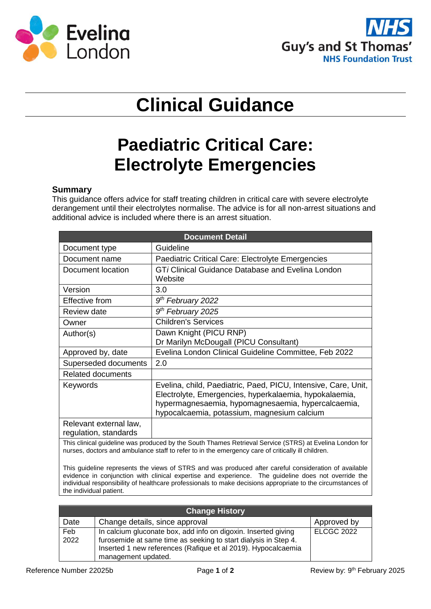



# **Clinical Guidance**

## **Paediatric Critical Care: Electrolyte Emergencies**

#### **Summary**

This guidance offers advice for staff treating children in critical care with severe electrolyte derangement until their electrolytes normalise. The advice is for all non-arrest situations and additional advice is included where there is an arrest situation.

| <b>Document Detail</b>                          |                                                                                                                                                                                                                               |  |  |  |
|-------------------------------------------------|-------------------------------------------------------------------------------------------------------------------------------------------------------------------------------------------------------------------------------|--|--|--|
| Document type                                   | Guideline                                                                                                                                                                                                                     |  |  |  |
| Document name                                   | Paediatric Critical Care: Electrolyte Emergencies                                                                                                                                                                             |  |  |  |
| Document location                               | GTi Clinical Guidance Database and Evelina London<br>Website                                                                                                                                                                  |  |  |  |
| Version                                         | 3.0                                                                                                                                                                                                                           |  |  |  |
| Effective from                                  | 9 <sup>th</sup> February 2022                                                                                                                                                                                                 |  |  |  |
| Review date                                     | 9 <sup>th</sup> February 2025                                                                                                                                                                                                 |  |  |  |
| Owner                                           | <b>Children's Services</b>                                                                                                                                                                                                    |  |  |  |
| Author(s)                                       | Dawn Knight (PICU RNP)<br>Dr Marilyn McDougall (PICU Consultant)                                                                                                                                                              |  |  |  |
| Approved by, date                               | Evelina London Clinical Guideline Committee, Feb 2022                                                                                                                                                                         |  |  |  |
| Superseded documents                            | 2.0                                                                                                                                                                                                                           |  |  |  |
| <b>Related documents</b>                        |                                                                                                                                                                                                                               |  |  |  |
| Keywords                                        | Evelina, child, Paediatric, Paed, PICU, Intensive, Care, Unit,<br>Electrolyte, Emergencies, hyperkalaemia, hypokalaemia,<br>hypermagnesaemia, hypomagnesaemia, hypercalcaemia,<br>hypocalcaemia, potassium, magnesium calcium |  |  |  |
| Relevant external law,<br>regulation, standards |                                                                                                                                                                                                                               |  |  |  |

This clinical guideline was produced by the South Thames Retrieval Service (STRS) at Evelina London for nurses, doctors and ambulance staff to refer to in the emergency care of critically ill children.

This guideline represents the views of STRS and was produced after careful consideration of available evidence in conjunction with clinical expertise and experience. The guideline does not override the individual responsibility of healthcare professionals to make decisions appropriate to the circumstances of the individual patient.

| <b>Change History</b> |                                                                                                                                                                                                                           |                   |  |
|-----------------------|---------------------------------------------------------------------------------------------------------------------------------------------------------------------------------------------------------------------------|-------------------|--|
| Date                  | Change details, since approval                                                                                                                                                                                            | Approved by       |  |
| Feb<br>2022           | In calcium gluconate box, add info on digoxin. Inserted giving<br>furosemide at same time as seeking to start dialysis in Step 4.<br>Inserted 1 new references (Rafique et al 2019). Hypocalcaemia<br>management updated. | <b>ELCGC 2022</b> |  |